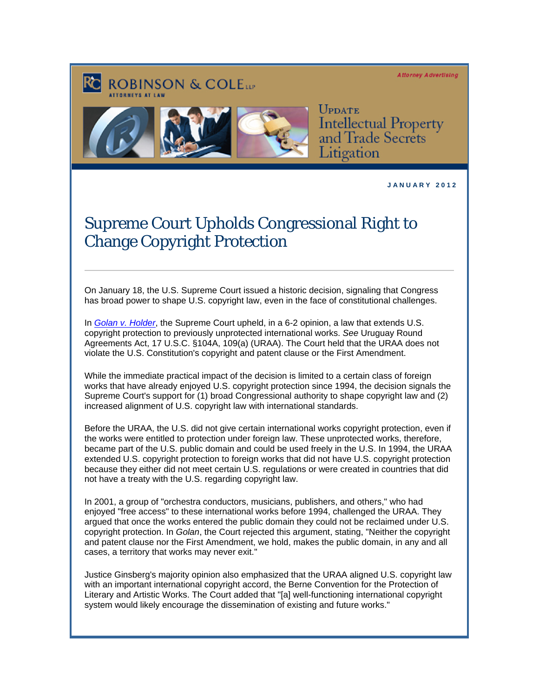**Attorney Advertising** 





UPDATE **Intellectual Property** and Trade Secrets itigation

**J A N U A R Y 2 0 1 2** 

## Supreme Court Upholds Congressional Right to Change Copyright Protection

On January 18, the U.S. Supreme Court issued a historic decision, signaling that Congress has broad power to shape U.S. copyright law, even in the face of constitutional challenges.

In *[Golan v. Holder](http://www.supremecourt.gov/opinions/slipopinions.aspx)*, the Supreme Court upheld, in a 6-2 opinion, a law that extends U.S. copyright protection to previously unprotected international works. *See* Uruguay Round Agreements Act, 17 U.S.C. §104A, 109(a) (URAA). The Court held that the URAA does not violate the U.S. Constitution's copyright and patent clause or the First Amendment.

While the immediate practical impact of the decision is limited to a certain class of foreign works that have already enjoyed U.S. copyright protection since 1994, the decision signals the Supreme Court's support for (1) broad Congressional authority to shape copyright law and (2) increased alignment of U.S. copyright law with international standards.

Before the URAA, the U.S. did not give certain international works copyright protection, even if the works were entitled to protection under foreign law. These unprotected works, therefore, became part of the U.S. public domain and could be used freely in the U.S. In 1994, the URAA extended U.S. copyright protection to foreign works that did not have U.S. copyright protection because they either did not meet certain U.S. regulations or were created in countries that did not have a treaty with the U.S. regarding copyright law.

In 2001, a group of "orchestra conductors, musicians, publishers, and others," who had enjoyed "free access" to these international works before 1994, challenged the URAA. They argued that once the works entered the public domain they could not be reclaimed under U.S. copyright protection. In *Golan*, the Court rejected this argument, stating, "Neither the copyright and patent clause nor the First Amendment, we hold, makes the public domain, in any and all cases, a territory that works may never exit."

Justice Ginsberg's majority opinion also emphasized that the URAA aligned U.S. copyright law with an important international copyright accord, the Berne Convention for the Protection of Literary and Artistic Works. The Court added that "[a] well-functioning international copyright system would likely encourage the dissemination of existing and future works."